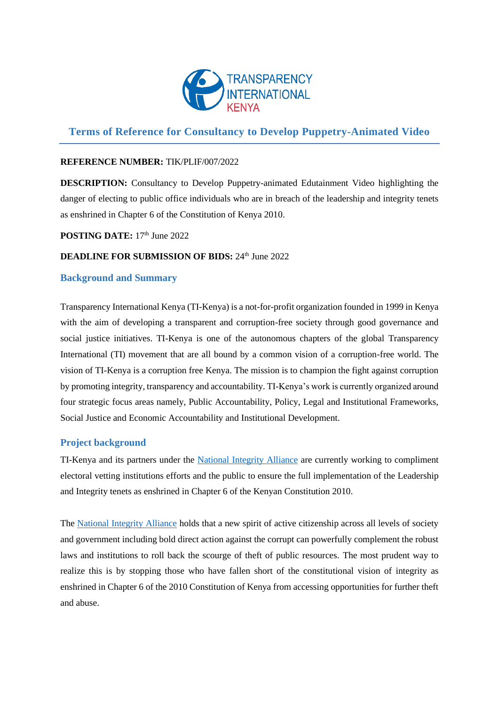

# **Terms of Reference for Consultancy to Develop Puppetry-Animated Video**

### **REFERENCE NUMBER:** TIK/PLIF/007/2022

**DESCRIPTION:** Consultancy to Develop Puppetry-animated Edutainment Video highlighting the danger of electing to public office individuals who are in breach of the leadership and integrity tenets as enshrined in Chapter 6 of the Constitution of Kenya 2010.

**POSTING DATE:** 17<sup>th</sup> June 2022

# **DEADLINE FOR SUBMISSION OF BIDS: 24th June 2022**

### **Background and Summary**

Transparency International Kenya (TI-Kenya) is a not-for-profit organization founded in 1999 in Kenya with the aim of developing a transparent and corruption-free society through good governance and social justice initiatives. TI-Kenya is one of the autonomous chapters of the global Transparency International (TI) movement that are all bound by a common vision of a corruption-free world. The vision of TI-Kenya is a corruption free Kenya. The mission is to champion the fight against corruption by promoting integrity, transparency and accountability. TI-Kenya's work is currently organized around four strategic focus areas namely, Public Accountability, Policy, Legal and Institutional Frameworks, Social Justice and Economic Accountability and Institutional Development.

# **Project background**

TI-Kenya and its partners under the [National Integrity Alliance](https://www.nia-ke.org/) are currently working to compliment electoral vetting institutions efforts and the public to ensure the full implementation of the Leadership and Integrity tenets as enshrined in Chapter 6 of the Kenyan Constitution 2010.

The [National Integrity Alliance](https://www.nia-ke.org/) holds that a new spirit of active citizenship across all levels of society and government including bold direct action against the corrupt can powerfully complement the robust laws and institutions to roll back the scourge of theft of public resources. The most prudent way to realize this is by stopping those who have fallen short of the constitutional vision of integrity as enshrined in Chapter 6 of the 2010 Constitution of Kenya from accessing opportunities for further theft and abuse.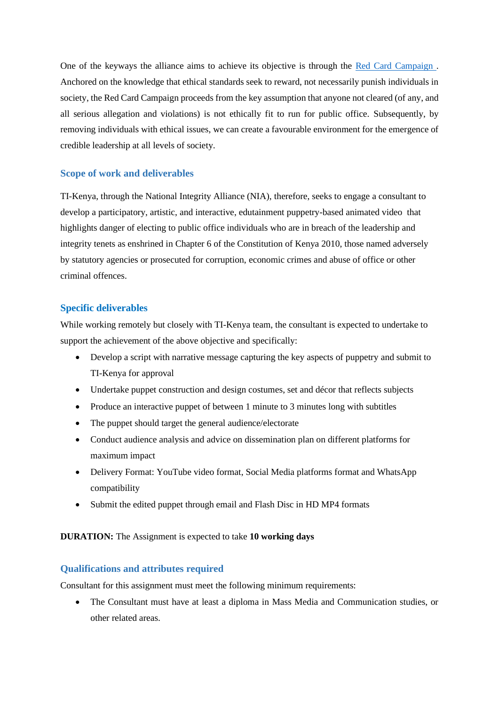One of the keyways the alliance aims to achieve its objective is through the [Red Card Campaign .](https://twitter.com/RedCardKE/status/1528355496134164480) Anchored on the knowledge that ethical standards seek to reward, not necessarily punish individuals in society, the Red Card Campaign proceeds from the key assumption that anyone not cleared (of any, and all serious allegation and violations) is not ethically fit to run for public office. Subsequently, by removing individuals with ethical issues, we can create a favourable environment for the emergence of credible leadership at all levels of society.

# **Scope of work and deliverables**

TI-Kenya, through the National Integrity Alliance (NIA), therefore, seeks to engage a consultant to develop a participatory, artistic, and interactive, edutainment puppetry-based animated video that highlights danger of electing to public office individuals who are in breach of the leadership and integrity tenets as enshrined in Chapter 6 of the Constitution of Kenya 2010, those named adversely by statutory agencies or prosecuted for corruption, economic crimes and abuse of office or other criminal offences.

# **Specific deliverables**

While working remotely but closely with TI-Kenya team, the consultant is expected to undertake to support the achievement of the above objective and specifically:

- Develop a script with narrative message capturing the key aspects of puppetry and submit to TI-Kenya for approval
- Undertake puppet construction and design costumes, set and décor that reflects subjects
- Produce an interactive puppet of between 1 minute to 3 minutes long with subtitles
- The puppet should target the general audience/electorate
- Conduct audience analysis and advice on dissemination plan on different platforms for maximum impact
- Delivery Format: YouTube video format, Social Media platforms format and WhatsApp compatibility
- Submit the edited puppet through email and Flash Disc in HD MP4 formats

# **DURATION:** The Assignment is expected to take **10 working days**

# **Qualifications and attributes required**

Consultant for this assignment must meet the following minimum requirements:

• The Consultant must have at least a diploma in Mass Media and Communication studies, or other related areas.